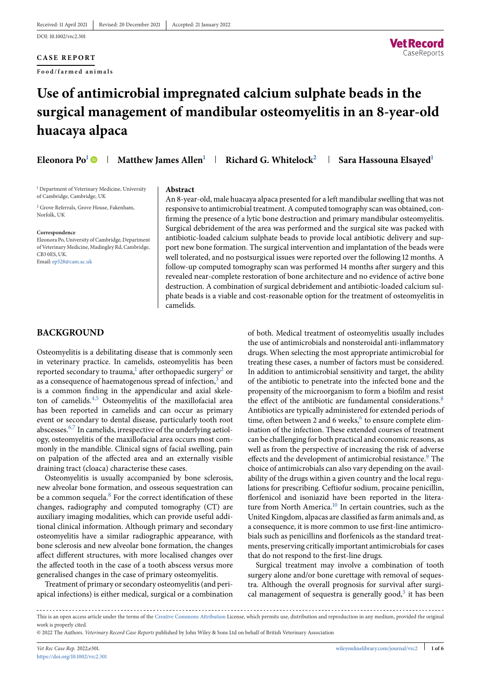## **CASE REPORT**

**Food/farmed animals**



# **Use of antimicrobial impregnated calcium sulphate beads in the** surgical management of mandibular osteomyelitis in an 8-year-old **huacaya alpaca**

**Eleonora Po<sup>1</sup> • Matthew James Allen<sup>1</sup> • Richard G. Whitelock<sup>2</sup> • Sara Hassouna Elsayed<sup>1</sup>** 

<sup>1</sup> Department of Veterinary Medicine, University of Cambridge, Cambridge, UK

<sup>2</sup> Grove Referrals, Grove House, Fakenham, Norfolk, UK

#### **Correspondence**

Eleonora Po, University of Cambridge, Department of Veterinary Medicine, Madingley Rd, Cambridge, CB3 0ES, UK. Email: [ep528@cam.ac.uk](mailto:ep528@cam.ac.uk)

#### **Abstract**

An 8-year-old, male huacaya alpaca presented for a left mandibular swelling that was not responsive to antimicrobial treatment. A computed tomography scan was obtained, confirming the presence of a lytic bone destruction and primary mandibular osteomyelitis. Surgical debridement of the area was performed and the surgical site was packed with antibiotic-loaded calcium sulphate beads to provide local antibiotic delivery and support new bone formation. The surgical intervention and implantation of the beads were well tolerated, and no postsurgical issues were reported over the following 12 months. A follow-up computed tomography scan was performed 14 months after surgery and this revealed near-complete restoration of bone architecture and no evidence of active bone destruction. A combination of surgical debridement and antibiotic-loaded calcium sulphate beads is a viable and cost-reasonable option for the treatment of osteomyelitis in camelids.

# **BACKGROUND**

Osteomyelitis is a debilitating disease that is commonly seen in veterinary practice. In camelids, osteomyelitis has been reported secondary to trauma,<sup>1</sup> after orthopaedic surgery<sup>2</sup> or as a consequence of haematogenous spread of infection, $3$  and is a common finding in the appendicular and axial skeleton of camelids. $4,5$  Osteomyelitis of the maxillofacial area has been reported in camelids and can occur as primary event or secondary to dental disease, particularly tooth root abscesses[.6,7](#page-5-0) In camelids, irrespective of the underlying aetiology, osteomyelitis of the maxillofacial area occurs most commonly in the mandible. Clinical signs of facial swelling, pain on palpation of the affected area and an externally visible draining tract (cloaca) characterise these cases.

Osteomyelitis is usually accompanied by bone sclerosis, new alveolar bone formation, and osseous sequestration can be a common sequela.<sup>8</sup> For the correct identification of these changes, radiography and computed tomography (CT) are auxiliary imaging modalities, which can provide useful additional clinical information. Although primary and secondary osteomyelitis have a similar radiographic appearance, with bone sclerosis and new alveolar bone formation, the changes affect different structures, with more localised changes over the affected tooth in the case of a tooth abscess versus more generalised changes in the case of primary osteomyelitis.

Treatment of primary or secondary osteomyelitis (and periapical infections) is either medical, surgical or a combination of both. Medical treatment of osteomyelitis usually includes the use of antimicrobials and nonsteroidal anti-inflammatory drugs. When selecting the most appropriate antimicrobial for treating these cases, a number of factors must be considered. In addition to antimicrobial sensitivity and target, the ability of the antibiotic to penetrate into the infected bone and the propensity of the microorganism to form a biofilm and resist the effect of the antibiotic are fundamental considerations.<sup>8</sup> Antibiotics are typically administered for extended periods of time, often between 2 and 6 weeks, $6$  to ensure complete elimination of the infection. These extended courses of treatment can be challenging for both practical and economic reasons, as well as from the perspective of increasing the risk of adverse effects and the development of antimicrobial resistance.<sup>[9](#page-5-0)</sup> The choice of antimicrobials can also vary depending on the availability of the drugs within a given country and the local regulations for prescribing. Ceftiofur sodium, procaine penicillin, florfenicol and isoniazid have been reported in the literature from North America.<sup>10</sup> In certain countries, such as the United Kingdom, alpacas are classified as farm animals and, as a consequence, it is more common to use first-line antimicrobials such as penicillins and florfenicols as the standard treatments, preserving critically important antimicrobials for cases that do not respond to the first-line drugs.

Surgical treatment may involve a combination of tooth surgery alone and/or bone curettage with removal of sequestra. Although the overall prognosis for survival after surgical management of sequestra is generally good,<sup>3</sup> it has been

© 2022 The Authors. *Veterinary Record Case Reports* published by John Wiley & Sons Ltd on behalf of British Veterinary Association

This is an open access article under the terms of the [Creative Commons Attribution](http://creativecommons.org/licenses/by/4.0/) License, which permits use, distribution and reproduction in any medium, provided the original work is properly cited.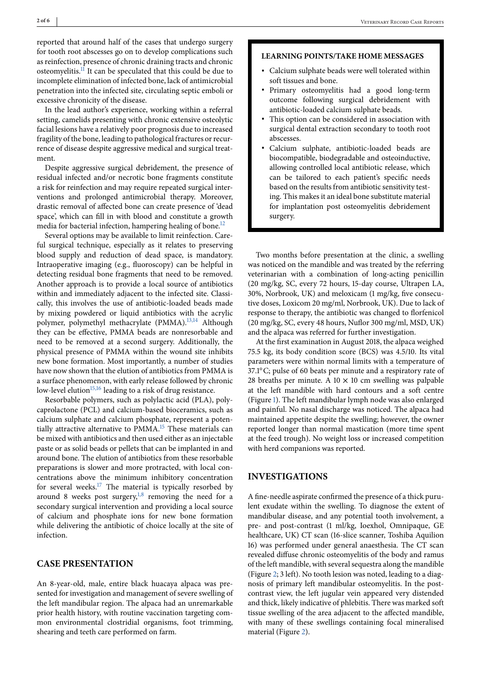reported that around half of the cases that undergo surgery for tooth root abscesses go on to develop complications such as reinfection, presence of chronic draining tracts and chronic osteomyelitis.<sup>11</sup> It can be speculated that this could be due to incomplete elimination of infected bone, lack of antimicrobial penetration into the infected site, circulating septic emboli or excessive chronicity of the disease.

In the lead author's experience, working within a referral setting, camelids presenting with chronic extensive osteolytic facial lesions have a relatively poor prognosis due to increased fragility of the bone, leading to pathological fractures or recurrence of disease despite aggressive medical and surgical treatment.

Despite aggressive surgical debridement, the presence of residual infected and/or necrotic bone fragments constitute a risk for reinfection and may require repeated surgical interventions and prolonged antimicrobial therapy. Moreover, drastic removal of affected bone can create presence of 'dead space', which can fill in with blood and constitute a growth media for bacterial infection, hampering healing of bone.<sup>12</sup>

Several options may be available to limit reinfection. Careful surgical technique, especially as it relates to preserving blood supply and reduction of dead space, is mandatory. Intraoperative imaging (e.g., fluoroscopy) can be helpful in detecting residual bone fragments that need to be removed. Another approach is to provide a local source of antibiotics within and immediately adjacent to the infected site. Classically, this involves the use of antibiotic-loaded beads made by mixing powdered or liquid antibiotics with the acrylic polymer, polymethyl methacrylate (PMMA).<sup>[13,14](#page-5-0)</sup> Although they can be effective, PMMA beads are nonresorbable and need to be removed at a second surgery. Additionally, the physical presence of PMMA within the wound site inhibits new bone formation. Most importantly, a number of studies have now shown that the elution of antibiotics from PMMA is a surface phenomenon, with early release followed by chronic low-level elution $15,16$  leading to a risk of drug resistance.

Resorbable polymers, such as polylactic acid (PLA), polycaprolactone (PCL) and calcium-based bioceramics, such as calcium sulphate and calcium phosphate, represent a potentially attractive alternative to PMMA.<sup>15</sup> These materials can be mixed with antibiotics and then used either as an injectable paste or as solid beads or pellets that can be implanted in and around bone. The elution of antibiotics from these resorbable preparations is slower and more protracted, with local concentrations above the minimum inhibitory concentration for several weeks.<sup>17</sup> The material is typically resorbed by around 8 weeks post surgery, $1,8$  removing the need for a secondary surgical intervention and providing a local source of calcium and phosphate ions for new bone formation while delivering the antibiotic of choice locally at the site of infection.

# **CASE PRESENTATION**

An 8-year-old, male, entire black huacaya alpaca was presented for investigation and management of severe swelling of the left mandibular region. The alpaca had an unremarkable prior health history, with routine vaccination targeting common environmental clostridial organisms, foot trimming, shearing and teeth care performed on farm.

## **LEARNING POINTS/TAKE HOME MESSAGES**

- ∙ Calcium sulphate beads were well tolerated within soft tissues and bone.
- ∙ Primary osteomyelitis had a good long-term outcome following surgical debridement with antibiotic-loaded calcium sulphate beads.
- ∙ This option can be considered in association with surgical dental extraction secondary to tooth root abscesses.
- ∙ Calcium sulphate, antibiotic-loaded beads are biocompatible, biodegradable and osteoinductive, allowing controlled local antibiotic release, which can be tailored to each patient's specific needs based on the results from antibiotic sensitivity testing. This makes it an ideal bone substitute material for implantation post osteomyelitis debridement surgery.

Two months before presentation at the clinic, a swelling was noticed on the mandible and was treated by the referring veterinarian with a combination of long-acting penicillin (20 mg/kg, SC, every 72 hours, 15-day course, Ultrapen LA, 30%, Norbrook, UK) and meloxicam (1 mg/kg, five consecutive doses, Loxicom 20 mg/ml, Norbrook, UK). Due to lack of response to therapy, the antibiotic was changed to florfenicol (20 mg/kg, SC, every 48 hours, Nuflor 300 mg/ml, MSD, UK) and the alpaca was referred for further investigation.

At the first examination in August 2018, the alpaca weighed 75.5 kg, its body condition score (BCS) was 4.5/10. Its vital parameters were within normal limits with a temperature of 37.1◦C; pulse of 60 beats per minute and a respiratory rate of 28 breaths per minute. A  $10 \times 10$  cm swelling was palpable at the left mandible with hard contours and a soft centre (Figure [1\)](#page-2-0). The left mandibular lymph node was also enlarged and painful. No nasal discharge was noticed. The alpaca had maintained appetite despite the swelling; however, the owner reported longer than normal mastication (more time spent at the feed trough). No weight loss or increased competition with herd companions was reported.

## **INVESTIGATIONS**

A fine-needle aspirate confirmed the presence of a thick purulent exudate within the swelling. To diagnose the extent of mandibular disease, and any potential tooth involvement, a pre- and post-contrast (1 ml/kg, Ioexhol, Omnipaque, GE healthcare, UK) CT scan (16-slice scanner, Toshiba Aquilion 16) was performed under general anaesthesia. The CT scan revealed diffuse chronic osteomyelitis of the body and ramus of the left mandible, with several sequestra along the mandible (Figure [2;](#page-2-0) 3 left). No tooth lesion was noted, leading to a diagnosis of primary left mandibular osteomyelitis. In the postcontrast view, the left jugular vein appeared very distended and thick, likely indicative of phlebitis. There was marked soft tissue swelling of the area adjacent to the affected mandible, with many of these swellings containing focal mineralised material (Figure [2\)](#page-2-0).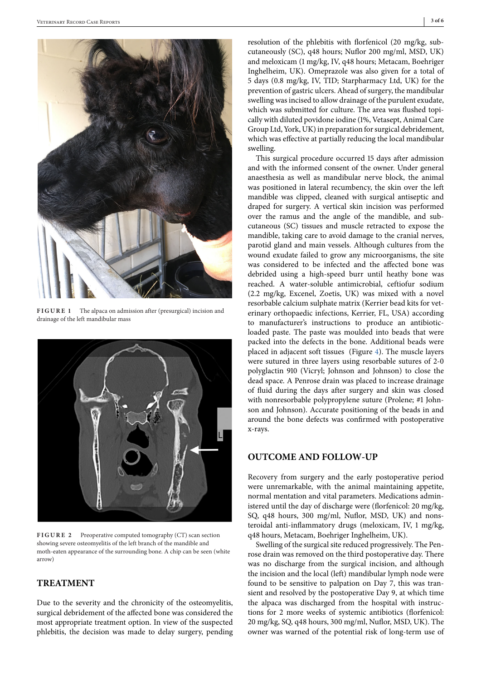<span id="page-2-0"></span>

**FIGURE 1** The alpaca on admission after (presurgical) incision and drainage of the left mandibular mass



FIGURE 2 Preoperative computed tomography (CT) scan section showing severe osteomyelitis of the left branch of the mandible and moth-eaten appearance of the surrounding bone. A chip can be seen (white arrow)

# **TREATMENT**

Due to the severity and the chronicity of the osteomyelitis, surgical debridement of the affected bone was considered the most appropriate treatment option. In view of the suspected phlebitis, the decision was made to delay surgery, pending resolution of the phlebitis with florfenicol (20 mg/kg, subcutaneously (SC), q48 hours; Nuflor 200 mg/ml, MSD, UK) and meloxicam (1 mg/kg, IV, q48 hours; Metacam, Boehriger Inghelheim, UK). Omeprazole was also given for a total of 5 days (0.8 mg/kg, IV, TID; Starpharmacy Ltd, UK) for the prevention of gastric ulcers. Ahead of surgery, the mandibular swelling was incised to allow drainage of the purulent exudate, which was submitted for culture. The area was flushed topically with diluted povidone iodine (1%, Vetasept, Animal Care Group Ltd, York, UK) in preparation for surgical debridement, which was effective at partially reducing the local mandibular swelling.

This surgical procedure occurred 15 days after admission and with the informed consent of the owner. Under general anaesthesia as well as mandibular nerve block, the animal was positioned in lateral recumbency, the skin over the left mandible was clipped, cleaned with surgical antiseptic and draped for surgery. A vertical skin incision was performed over the ramus and the angle of the mandible, and subcutaneous (SC) tissues and muscle retracted to expose the mandible, taking care to avoid damage to the cranial nerves, parotid gland and main vessels. Although cultures from the wound exudate failed to grow any microorganisms, the site was considered to be infected and the affected bone was debrided using a high-speed burr until heathy bone was reached. A water-soluble antimicrobial, ceftiofur sodium (2.2 mg/kg, Excenel, Zoetis, UK) was mixed with a novel resorbable calcium sulphate matrix (Kerrier bead kits for veterinary orthopaedic infections, Kerrier, FL, USA) according to manufacturer's instructions to produce an antibioticloaded paste. The paste was moulded into beads that were packed into the defects in the bone. Additional beads were placed in adjacent soft tissues (Figure [4\)](#page-3-0). The muscle layers were sutured in three layers using resorbable sutures of 2-0 polyglactin 910 (Vicryl; Johnson and Johnson) to close the dead space. A Penrose drain was placed to increase drainage of fluid during the days after surgery and skin was closed with nonresorbable polypropylene suture (Prolene; #1 Johnson and Johnson). Accurate positioning of the beads in and around the bone defects was confirmed with postoperative x-rays.

# **OUTCOME AND FOLLOW-UP**

Recovery from surgery and the early postoperative period were unremarkable, with the animal maintaining appetite, normal mentation and vital parameters. Medications administered until the day of discharge were (florfenicol: 20 mg/kg, SQ, q48 hours, 300 mg/ml, Nuflor, MSD, UK) and nonsteroidal anti-inflammatory drugs (meloxicam, IV, 1 mg/kg, q48 hours, Metacam, Boehriger Inghelheim, UK).

Swelling of the surgical site reduced progressively. The Penrose drain was removed on the third postoperative day. There was no discharge from the surgical incision, and although the incision and the local (left) mandibular lymph node were found to be sensitive to palpation on Day 7, this was transient and resolved by the postoperative Day 9, at which time the alpaca was discharged from the hospital with instructions for 2 more weeks of systemic antibiotics (florfenicol: 20 mg/kg, SQ, q48 hours, 300 mg/ml, Nuflor, MSD, UK). The owner was warned of the potential risk of long-term use of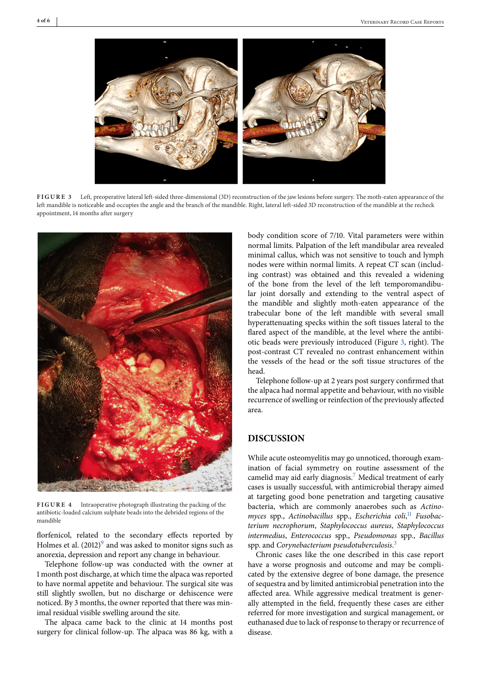<span id="page-3-0"></span>

**FIGURE**  Left, preoperative lateral left-sided three-dimensional (3D) reconstruction of the jaw lesions before surgery. The moth-eaten appearance of the left mandible is noticeable and occupies the angle and the branch of the mandible. Right, lateral left-sided 3D reconstruction of the mandible at the recheck appointment, 14 months after surgery



FIGURE 4 Intraoperative photograph illustrating the packing of the antibiotic-loaded calcium sulphate beads into the debrided regions of the mandible

florfenicol, related to the secondary effects reported by Holmes et al.  $(2012)^9$  $(2012)^9$  and was asked to monitor signs such as anorexia, depression and report any change in behaviour.

Telephone follow-up was conducted with the owner at 1 month post discharge, at which time the alpaca was reported to have normal appetite and behaviour. The surgical site was still slightly swollen, but no discharge or dehiscence were noticed. By 3 months, the owner reported that there was minimal residual visible swelling around the site.

The alpaca came back to the clinic at 14 months post surgery for clinical follow-up. The alpaca was 86 kg, with a body condition score of 7/10. Vital parameters were within normal limits. Palpation of the left mandibular area revealed minimal callus, which was not sensitive to touch and lymph nodes were within normal limits. A repeat CT scan (including contrast) was obtained and this revealed a widening of the bone from the level of the left temporomandibular joint dorsally and extending to the ventral aspect of the mandible and slightly moth-eaten appearance of the trabecular bone of the left mandible with several small hyperattenuating specks within the soft tissues lateral to the flared aspect of the mandible, at the level where the antibiotic beads were previously introduced (Figure 3, right). The post-contrast CT revealed no contrast enhancement within the vessels of the head or the soft tissue structures of the head.

Telephone follow-up at 2 years post surgery confirmed that the alpaca had normal appetite and behaviour, with no visible recurrence of swelling or reinfection of the previously affected area.

# **DISCUSSION**

While acute osteomyelitis may go unnoticed, thorough examination of facial symmetry on routine assessment of the camelid may aid early diagnosis[.7](#page-5-0) Medical treatment of early cases is usually successful, with antimicrobial therapy aimed at targeting good bone penetration and targeting causative bacteria, which are commonly anaerobes such as *Actinomyces* spp., *Actinobacillus* spp., *Escherichia coli*, [11](#page-5-0) *Fusobacterium necrophorum*, *Staphylococcus aureus*, *Staphylococcus intermedius*, *Enterococcus* spp., *Pseudomonas* spp., *Bacillus* spp. and *Corynebacterium pseudotuberculosis*. [3](#page-5-0)

Chronic cases like the one described in this case report have a worse prognosis and outcome and may be complicated by the extensive degree of bone damage, the presence of sequestra and by limited antimicrobial penetration into the affected area. While aggressive medical treatment is generally attempted in the field, frequently these cases are either referred for more investigation and surgical management, or euthanased due to lack of response to therapy or recurrence of disease.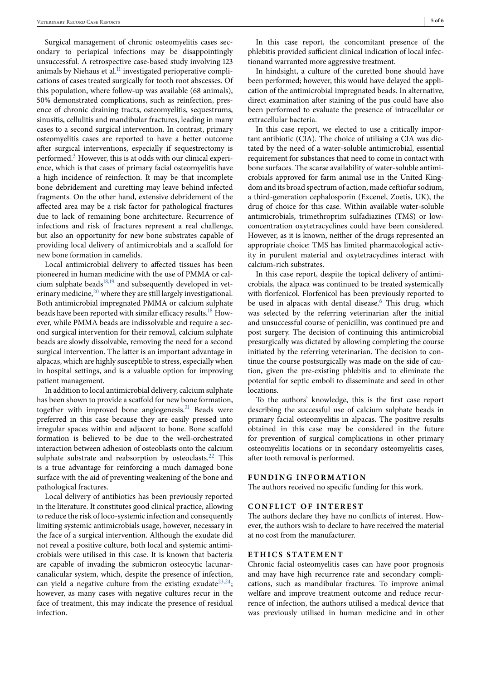Surgical management of chronic osteomyelitis cases secondary to periapical infections may be disappointingly unsuccessful. A retrospective case-based study involving 123 animals by Niehaus et al. $<sup>11</sup>$  investigated perioperative compli-</sup> cations of cases treated surgically for tooth root abscesses. Of this population, where follow-up was available (68 animals), 50% demonstrated complications, such as reinfection, presence of chronic draining tracts, osteomyelitis, sequestrums, sinusitis, cellulitis and mandibular fractures, leading in many cases to a second surgical intervention. In contrast, primary osteomyelitis cases are reported to have a better outcome after surgical interventions, especially if sequestrectomy is performed[.3](#page-5-0) However, this is at odds with our clinical experience, which is that cases of primary facial osteomyelitis have a high incidence of reinfection. It may be that incomplete bone debridement and curetting may leave behind infected fragments. On the other hand, extensive debridement of the affected area may be a risk factor for pathological fractures due to lack of remaining bone architecture. Recurrence of infections and risk of fractures represent a real challenge, but also an opportunity for new bone substrates capable of providing local delivery of antimicrobials and a scaffold for new bone formation in camelids.

Local antimicrobial delivery to affected tissues has been pioneered in human medicine with the use of PMMA or calcium sulphate beads $18,19$  and subsequently developed in veterinary medicine, $^{20}$  where they are still largely investigational. Both antimicrobial impregnated PMMA or calcium sulphate beads have been reported with similar efficacy results.<sup>[18](#page-5-0)</sup> However, while PMMA beads are indissolvable and require a second surgical intervention for their removal, calcium sulphate beads are slowly dissolvable, removing the need for a second surgical intervention. The latter is an important advantage in alpacas, which are highly susceptible to stress, especially when in hospital settings, and is a valuable option for improving patient management.

In addition to local antimicrobial delivery, calcium sulphate has been shown to provide a scaffold for new bone formation, together with improved bone angiogenesis.<sup>21</sup> Beads were preferred in this case because they are easily pressed into irregular spaces within and adjacent to bone. Bone scaffold formation is believed to be due to the well-orchestrated interaction between adhesion of osteoblasts onto the calcium sulphate substrate and reabsorption by osteoclasts.<sup>22</sup> This is a true advantage for reinforcing a much damaged bone surface with the aid of preventing weakening of the bone and pathological fractures.

Local delivery of antibiotics has been previously reported in the literature. It constitutes good clinical practice, allowing to reduce the risk of loco-systemic infection and consequently limiting systemic antimicrobials usage, however, necessary in the face of a surgical intervention. Although the exudate did not reveal a positive culture, both local and systemic antimicrobials were utilised in this case. It is known that bacteria are capable of invading the submicron osteocytic lacunarcanalicular system, which, despite the presence of infection, can yield a negative culture from the existing exudate  $2^{3,24}$ ; however, as many cases with negative cultures recur in the face of treatment, this may indicate the presence of residual infection.

In this case report, the concomitant presence of the phlebitis provided sufficient clinical indication of local infectionand warranted more aggressive treatment.

In hindsight, a culture of the curetted bone should have been performed; however, this would have delayed the application of the antimicrobial impregnated beads. In alternative, direct examination after staining of the pus could have also been performed to evaluate the presence of intracellular or extracellular bacteria.

In this case report, we elected to use a critically important antibiotic (CIA). The choice of utilising a CIA was dictated by the need of a water-soluble antimicrobial, essential requirement for substances that need to come in contact with bone surfaces. The scarse availability of water-soluble antimicrobials approved for farm animal use in the United Kingdom and its broad spectrum of action, made ceftiofur sodium, a third-generation cephalosporin (Excenel, Zoetis, UK), the drug of choice for this case. Within available water-soluble antimicrobials, trimethroprim sulfadiazines (TMS) or lowconcentration oxytetracyclines could have been considered. However, as it is known, neither of the drugs represented an appropriate choice: TMS has limited pharmacological activity in purulent material and oxytetracyclines interact with calcium-rich substrates.

In this case report, despite the topical delivery of antimicrobials, the alpaca was continued to be treated systemically with florfenicol. Florfenicol has been previously reported to be used in alpacas with dental disease.<sup>[6](#page-5-0)</sup> This drug, which was selected by the referring veterinarian after the initial and unsuccessful course of penicillin, was continued pre and post surgery. The decision of continuing this antimicrobial presurgically was dictated by allowing completing the course initiated by the referring veterinarian. The decision to continue the course postsurgically was made on the side of caution, given the pre-existing phlebitis and to eliminate the potential for septic emboli to disseminate and seed in other locations.

To the authors' knowledge, this is the first case report describing the successful use of calcium sulphate beads in primary facial osteomyelitis in alpacas. The positive results obtained in this case may be considered in the future for prevention of surgical complications in other primary osteomyelitis locations or in secondary osteomyelitis cases, after tooth removal is performed.

#### **FUNDING INFORMATION**

The authors received no specific funding for this work.

### **CONFLICT OF INTEREST**

The authors declare they have no conflicts of interest. However, the authors wish to declare to have received the material at no cost from the manufacturer.

## **ETHICS STATEMENT**

Chronic facial osteomyelitis cases can have poor prognosis and may have high recurrence rate and secondary complications, such as mandibular fractures. To improve animal welfare and improve treatment outcome and reduce recurrence of infection, the authors utilised a medical device that was previously utilised in human medicine and in other